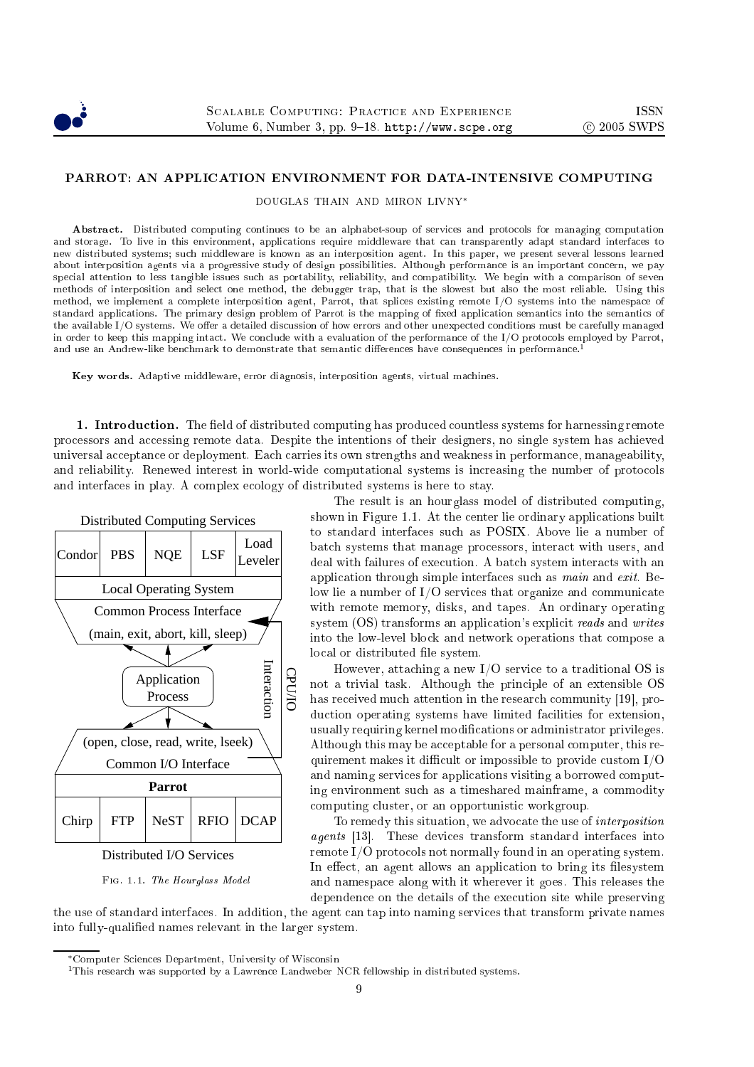

DOUGLAS THAIN AND MIRON LIVNY<sup>∗</sup>

Abstract. Distributed computing continues to be an alphabet-soup of services and protocols for managing computation and storage. To live in this environment, applications require middleware that can transparently adapt standard interfaces to new distributed systems; su
h middleware is known as an interposition agent. In this paper, we present several lessons learned about interposition agents via a progressive study of design possibilities. Although performance is an important concern, we pay spe
ial attention to less tangible issues su
h as portability, reliability, and ompatibility. We begin with a omparison of seven methods of interposition and sele
t one method, the debugger trap, that is the slowest but also the most reliable. Using this method, we implement a complete interposition agent, Parrot, that splices existing remote I/O systems into the namespace of standard applications. The primary design problem of Parrot is the mapping of fixed application semantics into the semantics of the available I/O systems. We offer a detailed discussion of how errors and other unexpected conditions must be carefully managed in order to keep this mapping intact. We conclude with a evaluation of the performance of the I/O protocols employed by Parrot, and use an Andrew-like benchmark to demonstrate that semantic differences have consequences in performance.<sup>1</sup>

Key words. Adaptive middleware, error diagnosis, interposition agents, virtual ma
hines.

1. Introduction. The field of distributed computing has produced countless systems for harnessing remote pro
essors and a

essing remote data. Despite the intentions of their designers, no single system has a
hieved universal acceptance or deployment. Each carries its own strengths and weakness in performance, manageability, and reliability. Renewed interest in world-wide computational systems is increasing the number of protocols and interfa
es in play. A omplex e
ology of distributed systems is here to stay.



Fig. 1.1. The Hourglass Model

The result is an hourglass model of distributed omputing, shown in Figure 1.1. At the enter lie ordinary appli
ations built to standard interfa
es su
h as POSIX. Above lie a number of bat
h systems that manage pro
essors, intera
t with users, and deal with failures of execution. A batch system interacts with an application through simple interfaces such as *main* and *exit*. Below lie a number of I/O services that organize and communicate with remote memory, disks, and tapes. An ordinary operating system (OS) transforms an application's explicit reads and writes into the low-level blo
k and network operations that ompose a local or distributed file system.

However, atta
hing a new I/O servi
e to a traditional OS is not a trivial task. Although the principle of an extensible OS has received much attention in the research community [19], production operating systems have limited facilities for extension, usually requiring kernel modifications or administrator privileges. Although this may be acceptable for a personal computer, this requirement makes it difficult or impossible to provide custom  $I/O$ and naming services for applications visiting a borrowed computing environment such as a timeshared mainframe, a commodity omputing luster, or an opportunisti workgroup.

To remedy this situation, we advocate the use of *interposition* agents [13]. These devices transform standard interfaces into remote I/O protocols not normally found in an operating system. In effect, an agent allows an application to bring its filesystem and namespa
e along with it wherever it goes. This releases the dependen
e on the details of the exe
ution site while preserving

the use of standard interfaces. In addition, the agent can tap into naming services that transform private names into fully-qualified names relevant in the larger system.

<sup>∗</sup>Computer S
ien
es Department, University of Wis
onsin

<sup>&</sup>lt;sup>1</sup>This research was supported by a Lawrence Landweber NCR fellowship in distributed systems.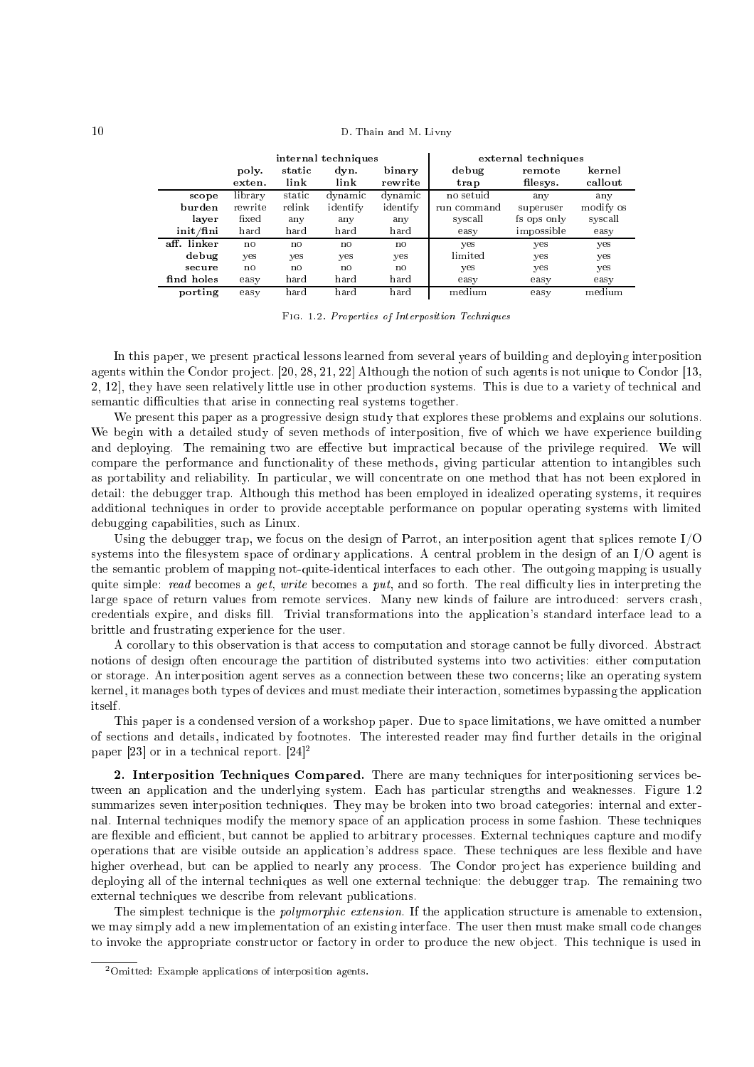|                                         | internal techniques |                |              |                   | external techniques |                    |                   |  |
|-----------------------------------------|---------------------|----------------|--------------|-------------------|---------------------|--------------------|-------------------|--|
|                                         | poly.<br>exten.     | static<br>link | dyn.<br>link | binary<br>rewrite | debug<br>trap       | remote<br>filesys. | kernel<br>callout |  |
| scope                                   | library             | static         | dynamic      | dynamic           | no setuid           | any                | any               |  |
| burden                                  | rewrite             | relink         | identify     | identify          | run command         | superuser          | modify os         |  |
| layer                                   | fixed               | any            | any          | any               | syscall             | fs ops only        | syscall           |  |
| $\int \ln \mathbf{H} \cdot d\mathbf{n}$ | hard                | hard           | hard         | hard              | easy                | impossible         | easy              |  |
| aff. linker                             | no                  | no             | no           | no                | yes                 | yes                | yes               |  |
| debug                                   | yes                 | yes            | yes          | yes               | limited             | yes                | yes               |  |
| secure                                  | no                  | no             | no           | no                | yes                 | yes                | yes               |  |
| find holes                              | easy                | hard           | hard         | hard              | easy                | easy               | easy              |  |
| norting                                 | easy                | hard           | hard         | hard              | medium              | easy               | medium            |  |

porting easy hard hard hard medium easy medium Fig. 1.2. Properties of Interposition Te
hniques

In this paper, we present practical lessons learned from several years of building and deploying interposition agents within the Condor project. [20, 28, 21, 22] Although the notion of such agents is not unique to Condor  $[13,$ 2, 12, they have seen relatively little use in other production systems. This is due to a variety of technical and semantic difficulties that arise in connecting real systems together.

We present this paper as a progressive design study that explores these problems and explains our solutions. We begin with a detailed study of seven methods of interposition, five of which we have experience building and deploying. The remaining two are effective but impractical because of the privilege required. We will compare the performance and functionality of these methods, giving particular attention to intangibles such as portability and reliability. In particular, we will concentrate on one method that has not been explored in detail: the debugger trap. Although this method has been employed in idealized operating systems, it requires additional techniques in order to provide acceptable performance on popular operating systems with limited debugging apabilities, su
h as Linux.

Using the debugger trap, we focus on the design of Parrot, an interposition agent that splices remote I/O systems into the filesystem space of ordinary applications. A central problem in the design of an  $I/O$  agent is the semantic problem of mapping not-quite-identical interfaces to each other. The outgoing mapping is usually quite simple: read becomes a get, write becomes a put, and so forth. The real difficulty lies in interpreting the large space of return values from remote services. Many new kinds of failure are introduced: servers crash, credentials expire, and disks fill. Trivial transformations into the application's standard interface lead to a brittle and frustrating experien
e for the user.

A corollary to this observation is that access to computation and storage cannot be fully divorced. Abstract notions of design often en
ourage the partition of distributed systems into two a
tivities: either omputation or storage. An interposition agent serves as a onne
tion between these two on
erns; like an operating system kernel, it manages both types of devices and must mediate their interaction, sometimes bypassing the application itself.

This paper is a ondensed version of a workshop paper. Due to spa
e limitations, we have omitted a number of sections and details, indicated by footnotes. The interested reader may find further details in the original paper [23] or in a technical report. [24] -

2. Interposition Techniques Compared. There are many techniques for interpositioning services between an application and the underlying system. Each has particular strengths and weaknesses. Figure 1.2 summarizes seven interposition techniques. They may be broken into two broad categories: internal and external. Internal te
hniques modify the memory spa
e of an appli
ation pro
ess in some fashion. These te
hniques are flexible and efficient, but cannot be applied to arbitrary processes. External techniques capture and modify operations that are visible outside an application's address space. These techniques are less flexible and have higher overhead, but can be applied to nearly any process. The Condor project has experience building and deploying all of the internal te
hniques as well one external te
hnique: the debugger trap. The remaining two external techniques we describe from relevant publications.

The simplest technique is the *polymorphic extension*. If the application structure is amenable to extension, we may simply add a new implementation of an existing interface. The user then must make small code changes to invoke the appropriate constructor or factory in order to produce the new object. This technique is used in

 $^{2}$ Omitted: Example applications of interposition agents.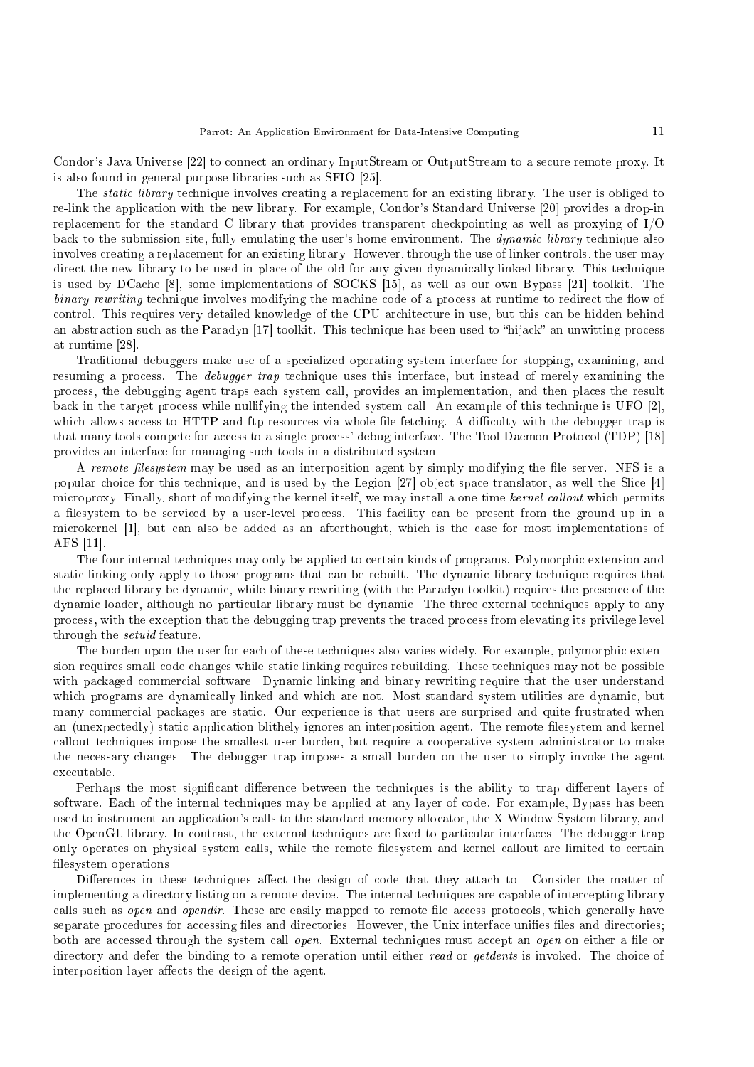Condor's Java Universe [22] to connect an ordinary InputStream or OutputStream to a secure remote proxy. It is also found in general purpose libraries such as SFIO [25].

The *static library* technique involves creating a replacement for an existing library. The user is obliged to re-link the application with the new library. For example, Condor's Standard Universe [20] provides a drop-in repla
ement for the standard C library that provides transparent he
kpointing as well as proxying of I/O back to the submission site, fully emulating the user's home environment. The *dynamic library* technique also involves creating a replacement for an existing library. However, through the use of linker controls, the user may direct the new library to be used in place of the old for any given dynamically linked library. This technique is used by DCache [8], some implementations of SOCKS [15], as well as our own Bypass [21] toolkit. The binary rewriting technique involves modifying the machine code of a process at runtime to redirect the flow of control. This requires very detailed knowledge of the CPU architecture in use, but this can be hidden behind an abstraction such as the Paradyn [17] toolkit. This technique has been used to "hijack" an unwitting process at runtime [28].

Traditional debuggers make use of a spe
ialized operating system interfa
e for stopping, examining, and resuming a process. The *debugger trap* technique uses this interface, but instead of merely examining the pro
ess, the debugging agent traps ea
h system all, provides an implementation, and then pla
es the result back in the target process while nullifying the intended system call. An example of this technique is UFO [2], which allows access to HTTP and ftp resources via whole-file fetching. A difficulty with the debugger trap is that many tools compete for access to a single process' debug interface. The Tool Daemon Protocol (TDP) [18] provides an interfa
e for managing su
h tools in a distributed system.

A remote filesystem may be used as an interposition agent by simply modifying the file server. NFS is a popular choice for this technique, and is used by the Legion [27] object-space translator, as well the Slice [4] microproxy. Finally, short of modifying the kernel itself, we may install a one-time kernel callout which permits a filesystem to be serviced by a user-level process. This facility can be present from the ground up in a microkernel [1], but can also be added as an afterthought, which is the case for most implementations of AFS  $[11]$ .

The four internal te
hniques may only be applied to ertain kinds of programs. Polymorphi extension and static linking only apply to those programs that can be rebuilt. The dynamic library technique requires that the repla
ed library be dynami
, while binary rewriting (with the Paradyn toolkit) requires the presen
e of the dynamic loader, although no particular library must be dynamic. The three external techniques apply to any pro
ess, with the ex
eption that the debugging trap prevents the tra
ed pro
ess from elevating its privilege level through the setuid feature.

The burden upon the user for each of these techniques also varies widely. For example, polymorphic extension requires small ode hanges while stati linking requires rebuilding. These te
hniques may not be possible with packaged commercial software. Dynamic linking and binary rewriting require that the user understand which programs are dynamically linked and which are not. Most standard system utilities are dynamic, but many ommer
ial pa
kages are stati
. Our experien
e is that users are surprised and quite frustrated when an (unexpectedly) static application blithely ignores an interposition agent. The remote filesystem and kernel allout te
hniques impose the smallest user burden, but require a ooperative system administrator to make the ne
essary hanges. The debugger trap imposes a small burden on the user to simply invoke the agent executable.

Perhaps the most significant difference between the techniques is the ability to trap different layers of software. Each of the internal techniques may be applied at any layer of code. For example, Bypass has been used to instrument an application's calls to the standard memory allocator, the X Window System library, and the OpenGL library. In contrast, the external techniques are fixed to particular interfaces. The debugger trap only operates on physical system calls, while the remote filesystem and kernel callout are limited to certain filesystem operations.

Differences in these techniques affect the design of code that they attach to. Consider the matter of implementing a directory listing on a remote device. The internal techniques are capable of intercepting library calls such as *open* and *opendir*. These are easily mapped to remote file access protocols, which generally have separate procedures for accessing files and directories. However, the Unix interface unifies files and directories; both are accessed through the system call open. External techniques must accept an open on either a file or directory and defer the binding to a remote operation until either read or get dents is invoked. The choice of interposition layer affects the design of the agent.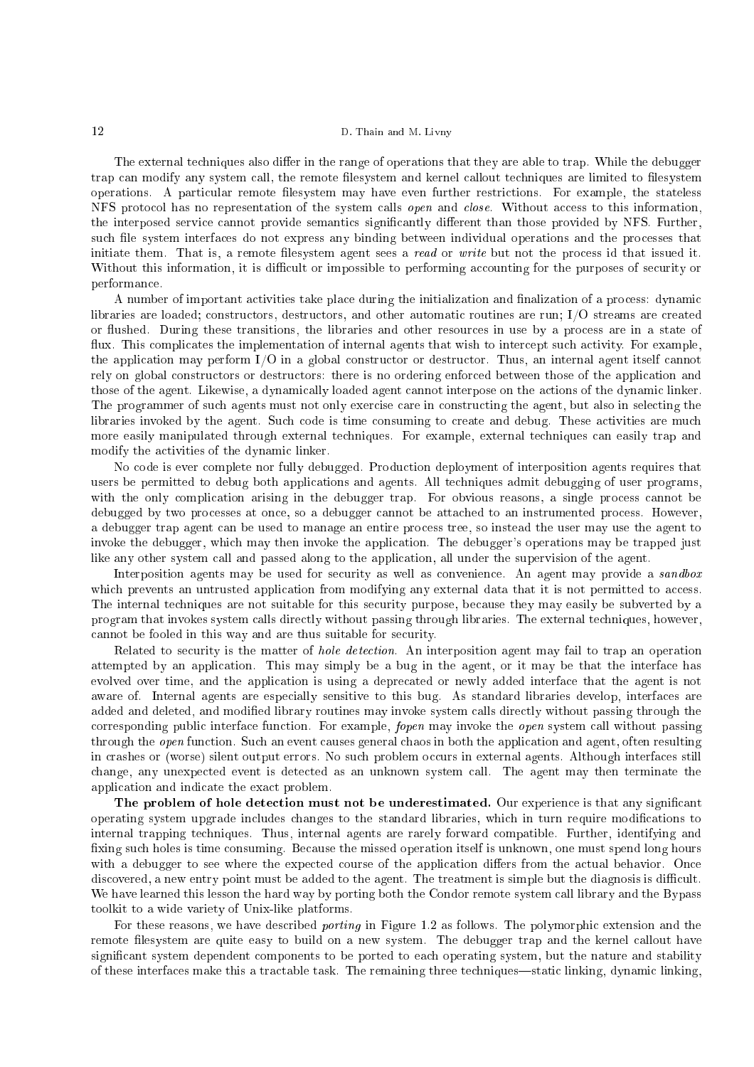The external techniques also differ in the range of operations that they are able to trap. While the debugger trap can modify any system call, the remote filesystem and kernel callout techniques are limited to filesystem operations. A particular remote filesystem may have even further restrictions. For example, the stateless NFS protocol has no representation of the system calls *open* and *close*. Without access to this information, the interposed service cannot provide semantics significantly different than those provided by NFS. Further, such file system interfaces do not express any binding between individual operations and the processes that initiate them. That is, a remote filesystem agent sees a *read* or *write* but not the process id that issued it. Without this information, it is difficult or impossible to performing accounting for the purposes of security or performan
e.

A number of important activities take place during the initialization and finalization of a process: dynamic libraries are loaded; constructors, destructors, and other automatic routines are run; I/O streams are created or flushed. During these transitions, the libraries and other resources in use by a process are in a state of flux. This complicates the implementation of internal agents that wish to intercept such activity. For example, the application may perform I/O in a global constructor or destructor. Thus, an internal agent itself cannot rely on global constructors or destructors: there is no ordering enforced between those of the application and those of the agent. Likewise, a dynamically loaded agent cannot interpose on the actions of the dynamic linker. The programmer of such agents must not only exercise care in constructing the agent, but also in selecting the libraries invoked by the agent. Such code is time consuming to create and debug. These activities are much more easily manipulated through external techniques. For example, external techniques can easily trap and modify the activities of the dynamic linker.

No code is ever complete nor fully debugged. Production deployment of interposition agents requires that users be permitted to debug both applications and agents. All techniques admit debugging of user programs, with the only complication arising in the debugger trap. For obvious reasons, a single process cannot be debugged by two processes at once, so a debugger cannot be attached to an instrumented process. However, a debugger trap agent an be used to manage an entire pro
ess tree, so instead the user may use the agent to invoke the debugger, which may then invoke the application. The debugger's operations may be trapped just like any other system all and passed along to the appli
ation, all under the supervision of the agent.

Interposition agents may be used for security as well as convenience. An agent may provide a sandbox which prevents an untrusted application from modifying any external data that it is not permitted to access. The internal techniques are not suitable for this security purpose, because they may easily be subverted by a program that invokes system alls dire
tly without passing through libraries. The external te
hniques, however, cannot be fooled in this way and are thus suitable for security.

Related to security is the matter of *hole detection*. An interposition agent may fail to trap an operation attempted by an application. This may simply be a bug in the agent, or it may be that the interface has evolved over time, and the application is using a deprecated or newly added interface that the agent is not aware of. Internal agents are espe
ially sensitive to this bug. As standard libraries develop, interfa
es are added and deleted, and modified library routines may invoke system calls directly without passing through the corresponding public interface function. For example, *fopen* may invoke the *open* system call without passing through the *open* function. Such an event causes general chaos in both the application and agent, often resulting in crashes or (worse) silent output errors. No such problem occurs in external agents. Although interfaces still hange, any unexpe
ted event is dete
ted as an unknown system all. The agent may then terminate the application and indicate the exact problem.

The problem of hole detection must not be underestimated. Our experience is that any significant operating system upgrade includes changes to the standard libraries, which in turn require modifications to internal trapping techniques. Thus, internal agents are rarely forward compatible. Further, identifying and fixing such holes is time consuming. Because the missed operation itself is unknown, one must spend long hours with a debugger to see where the expected course of the application differs from the actual behavior. Once discovered, a new entry point must be added to the agent. The treatment is simple but the diagnosis is difficult. We have learned this lesson the hard way by porting both the Condor remote system call library and the Bypass toolkit to a wide variety of Unix-like platforms.

For these reasons, we have described *porting* in Figure 1.2 as follows. The polymorphic extension and the remote filesystem are quite easy to build on a new system. The debugger trap and the kernel callout have significant system dependent components to be ported to each operating system, but the nature and stability of these interfaces make this a tractable task. The remaining three techniques—static linking, dynamic linking,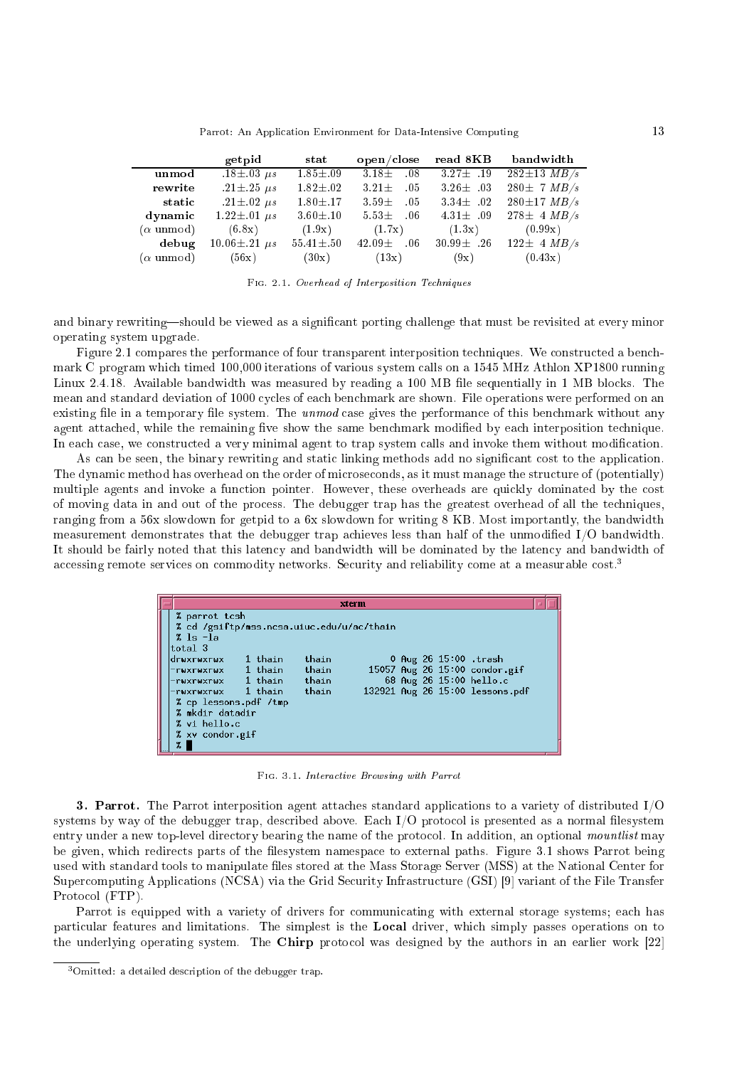Parrot: An Application Environment for Data-Intensive Computing 13

|                          | getpid                  | stat            | open/close       | read 8KB        | bandwidth         |
|--------------------------|-------------------------|-----------------|------------------|-----------------|-------------------|
| unmod                    | $18 \pm 03 \ \mu s$     | $1.85 + .09$    | $3.18+$<br>08    | $3.27 \pm .19$  | $282 \pm 13$ MB/s |
| rewrite                  | $.21 \pm .25 \ \mu s$   | $1.82 \pm .02$  | $3.21 +$<br>.05  | $3.26 \pm .03$  | $280 \pm 7$ MB/s  |
| static                   | $.21 \pm .02 \; \mu s$  | $1.80 + .17$    | $3.59+$<br>- 05  | $3.34\pm .02$   | $280 \pm 17$ MB/s |
| dynamic                  | $1.22 \pm .01 \ \mu s$  | $3.60 \pm .10$  | $5.53\pm$<br>.06 | 4.31 $\pm$ .09  | $278 \pm 4$ MB/s  |
| $(\alpha \text{ unmod})$ | (6.8x)                  | (1.9x)          | (1.7x)           | (1.3x)          | (0.99x)           |
| debug                    | $10.06 \pm .21 \ \mu s$ | $55.41 \pm .50$ | $42.09\pm$<br>06 | $30.99 \pm .26$ | $122 \pm 4$ MB/s  |
| $\alpha$ unmod)          | (56x)                   | (30x)           | (13x)            | (9x)            | (0.43x)           |

Fig. 2.1. Overhead of Interposition Te
hniques

and binary rewriting—should be viewed as a significant porting challenge that must be revisited at every minor operating system upgrade.

Figure 2.1 compares the performance of four transparent interposition techniques. We constructed a benchmark C program which timed 100,000 iterations of various system calls on a 1545 MHz Athlon XP1800 running Linux 2.4.18. Available bandwidth was measured by reading a 100 MB file sequentially in 1 MB blocks. The mean and standard deviation of 1000 cycles of each benchmark are shown. File operations were performed on an existing file in a temporary file system. The *unmod* case gives the performance of this benchmark without any agent attached, while the remaining five show the same benchmark modified by each interposition technique. In each case, we constructed a very minimal agent to trap system calls and invoke them without modification.

As can be seen, the binary rewriting and static linking methods add no significant cost to the application. The dynamic method has overhead on the order of microseconds, as it must manage the structure of (potentially) multiple agents and invoke a function pointer. However, these overheads are quickly dominated by the cost of moving data in and out of the pro
ess. The debugger trap has the greatest overhead of all the te
hniques, ranging from a 56x slowdown for getpid to a 6x slowdown for writing 8 KB. Most importantly, the bandwidth measurement demonstrates that the debugger trap achieves less than half of the unmodified I/O bandwidth. It should be fairly noted that this latency and bandwidth will be dominated by the latency and bandwidth of accessing remote services on commodity networks. Security and reliability come at a measurable cost.<sup>3</sup>

|                                           |           |       | xterm |  |                         |                                 |  |
|-------------------------------------------|-----------|-------|-------|--|-------------------------|---------------------------------|--|
| % parrot tcsh                             |           |       |       |  |                         |                                 |  |
| % cd /gsiftp/mss.ncsa.uiuc.edu/u/ac/thain |           |       |       |  |                         |                                 |  |
| $\frac{2}{2}$ ls $-\frac{1}{2}$           |           |       |       |  |                         |                                 |  |
| total 3                                   |           |       |       |  |                         |                                 |  |
| druxruxrux                                | 1 thain   | thain |       |  | 0 Aug 26 15:00 .trash   |                                 |  |
| -rwxrwxrwx                                | 1 thain   | thain |       |  |                         | 15057 Aug 26 15:00 condor.gif   |  |
| -ruxruxrux                                | 1 thain   | thain |       |  | 68 Aug 26 15:00 hello.c |                                 |  |
| -rwxrwxrwx                                | - 1 thain | thain |       |  |                         | 132921 Aug 26 15:00 lessons.pdf |  |
| % cp lessons.pdf /tmp                     |           |       |       |  |                         |                                 |  |
| % mkdir datadir                           |           |       |       |  |                         |                                 |  |
| % vi hello.c                              |           |       |       |  |                         |                                 |  |
| % xv condor gif                           |           |       |       |  |                         |                                 |  |
| $\boldsymbol{\mathsf{z}}$                 |           |       |       |  |                         |                                 |  |

Fig. 3.1. Intera
tive Browsing with Parrot

**3. Parrot.** The Parrot interposition agent attaches standard applications to a variety of distributed  $I/O$ systems by way of the debugger trap, described above. Each I/O protocol is presented as a normal filesystem entry under a new top-level directory bearing the name of the protocol. In addition, an optional mountlist may be given, which redirects parts of the filesystem namespace to external paths. Figure 3.1 shows Parrot being used with standard tools to manipulate files stored at the Mass Storage Server (MSS) at the National Center for Supercomputing Applications (NCSA) via the Grid Security Infrastructure (GSI) [9] variant of the File Transfer Protocol (FTP).

Parrot is equipped with a variety of drivers for communicating with external storage systems; each has particular features and limitations. The simplest is the Local driver, which simply passes operations on to the underlying operating system. The Chirp protocol was designed by the authors in an earlier work  $[22]$ 

 $3$ Omitted: a detailed description of the debugger trap.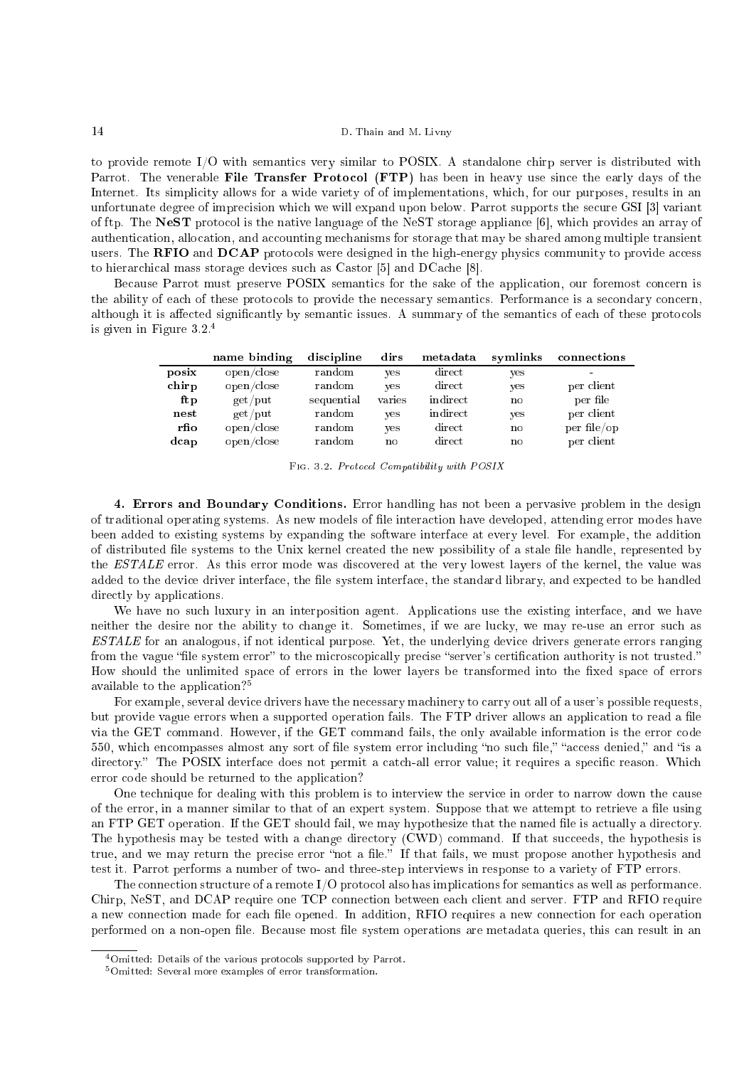to provide remote I/O with semantics very similar to POSIX. A standalone chirp server is distributed with Parrot. The venerable File Transfer Protocol (FTP) has been in heavy use since the early days of the Internet. Its simplicity allows for a wide variety of of implementations, which, for our purposes, results in an unfortunate degree of imprecision which we will expand upon below. Parrot supports the secure GSI [3] variant of ftp. The NeST protocol is the native language of the NeST storage appliance  $[6]$ , which provides an array of authentication, allocation, and accounting mechanisms for storage that may be shared among multiple transient users. The RFIO and DCAP protocols were designed in the high-energy physics community to provide access to hierarchical mass storage devices such as Castor [5] and DCache [8].

Because Parrot must preserve POSIX semantics for the sake of the application, our foremost concern is the ability of each of these protocols to provide the necessary semantics. Performance is a secondary concern, although it is affected significantly by semantic issues. A summary of the semantics of each of these protocols is given in Figure 3.2.<sup>4</sup>

|       | name binding | discipline | dirs   | metadata | symlinks     | connections |
|-------|--------------|------------|--------|----------|--------------|-------------|
| posix | open/close   | random     | yes    | direct   | yes          |             |
| chirp | open/close   | random     | yes    | direct   | yes          | per client  |
| ftp   | $get$ / put  | sequential | varies | indirect | $\mathbf{n}$ | per file    |
| nest  | $get$ / put  | random     | yes    | indirect | yes          | per client  |
| rfio  | open/close   | random     | yes    | direct   | $\mathbf{n}$ | per file/op |
| dcap  | open/close   | random     | no     | direct   | $\mathbf{n}$ | per client  |

FIG. 3.2. Protocol Compatibility with POSIX

4. Errors and Boundary Conditions. Error handling has not been a pervasive problem in the design of traditional operating systems. As new models of file interaction have developed, attending error modes have been added to existing systems by expanding the software interfa
e at every level. For example, the addition of distributed file systems to the Unix kernel created the new possibility of a stale file handle, represented by the ESTALE error. As this error mode was discovered at the very lowest layers of the kernel, the value was added to the device driver interface, the file system interface, the standard library, and expected to be handled directly by applications.

We have no such luxury in an interposition agent. Applications use the existing interface, and we have neither the desire nor the ability to change it. Sometimes, if we are lucky, we may re-use an error such as ESTALE for an analogous, if not identi
al purpose. Yet, the underlying devi
e drivers generate errors ranging from the vague "file system error" to the microscopically precise "server's certification authority is not trusted." How should the unlimited space of errors in the lower layers be transformed into the fixed space of errors available to the application?<sup>5</sup>

For example, several device drivers have the necessary machinery to carry out all of a user's possible requests, but provide vague errors when a supported operation fails. The FTP driver allows an application to read a file via the GET ommand. However, if the GET ommand fails, the only available information is the error ode 550, which encompasses almost any sort of file system error including "no such file," "access denied," and "is a directory." The POSIX interface does not permit a catch-all error value; it requires a specific reason. Which error ode should be returned to the appli
ation?

One technique for dealing with this problem is to interview the service in order to narrow down the cause of the error, in a manner similar to that of an expert system. Suppose that we attempt to retrieve a file using an FTP GET operation. If the GET should fail, we may hypothesize that the named file is actually a directory. The hypothesis may be tested with a change directory (CWD) command. If that succeeds, the hypothesis is true, and we may return the precise error "not a file." If that fails, we must propose another hypothesis and test it. Parrot performs a number of two- and three-step interviews in response to a variety of FTP errors.

The connection structure of a remote I/O protocol also has implications for semantics as well as performance. Chirp, NeST, and DCAP require one TCP connection between each client and server. FTP and RFIO require a new connection made for each file opened. In addition, RFIO requires a new connection for each operation performed on a non-open file. Because most file system operations are metadata queries, this can result in an

<sup>&</sup>lt;sup>4</sup>Omitted: Details of the various protocols supported by Parrot.

<sup>5</sup>Omitted: Several more examples of error transformation.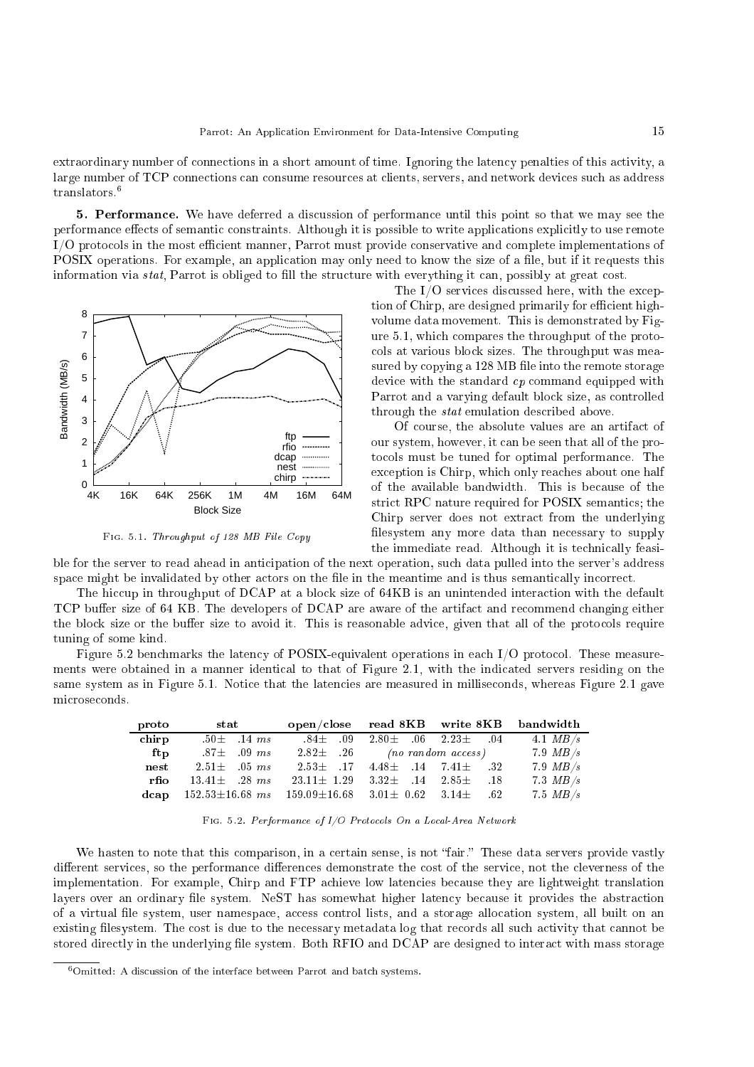extraordinary number of connections in a short amount of time. Ignoring the latency penalties of this activity, a large number of TCP connections can consume resources at clients, servers, and network devices such as address translators.<sup>6</sup>

5. Performan
e. We have deferred a dis
ussion of performan
e until this point so that we may see the performance effects of semantic constraints. Although it is possible to write applications explicitly to use remote I/O protocols in the most efficient manner, Parrot must provide conservative and complete implementations of POSIX operations. For example, an application may only need to know the size of a file, but if it requests this information via *stat*, Parrot is obliged to fill the structure with everything it can, possibly at great cost.



Fig. 5.1. Throughput of 128 MB File Copy

The I/O services discussed here, with the exception of Chirp, are designed primarily for efficient highvolume data movement. This is demonstrated by Figure 5.1, whi
h ompares the throughput of the proto ols at various blo
k sizes. The throughput was measured by copying a 128 MB file into the remote storage device with the standard cp command equipped with Parrot and a varying default blo
k size, as ontrolled through the *stat* emulation described above.

Of ourse, the absolute values are an artifa
t of our system, however, it an be seen that all of the proto
ols must be tuned for optimal performan
e. The exception is Chirp, which only reaches about one half of the available bandwidth. This is be
ause of the strict RPC nature required for POSIX semantics; the Chirp server does not extract from the underlying filesystem any more data than necessary to supply the immediate read. Although it is technically feasi-

ble for the server to read ahead in anticipation of the next operation, such data pulled into the server's address space might be invalidated by other actors on the file in the meantime and is thus semantically incorrect.

The hiccup in throughput of DCAP at a block size of 64KB is an unintended interaction with the default TCP buffer size of 64 KB. The developers of DCAP are aware of the artifact and recommend changing either the block size or the buffer size to avoid it. This is reasonable advice, given that all of the protocols require tuning of some kind.

Figure 5.2 benchmarks the latency of POSIX-equivalent operations in each I/O protocol. These measurements were obtained in a manner identical to that of Figure 2.1, with the indicated servers residing on the same system as in Figure 5.1. Notice that the latencies are measured in milliseconds, whereas Figure 2.1 gave mi
rose
onds.

| proto | stat                                                                          |                                              |                                  | open/close read 8KB write 8KB bandwidth |               |
|-------|-------------------------------------------------------------------------------|----------------------------------------------|----------------------------------|-----------------------------------------|---------------|
| chirp | $50\pm$ 14 ms                                                                 | .84 $\pm$ .09 2.80 $\pm$ .06 2.23 $\pm$ .04  |                                  |                                         | $4.1 \, MB/s$ |
| ftp   | $87\pm$ 09 ms                                                                 |                                              | $2.82\pm .26$ (no random access) |                                         | 7.9 $MB/s$    |
|       | $nest$ $2.51\pm$ $.05$ ms                                                     |                                              |                                  | $2.53\pm$ 17 $4.48\pm$ 14 $7.41\pm$ 32  | $7.9$ $MB/s$  |
|       | <b>rfio</b> $13.41 \pm 0.28$ ms                                               | $23.11 \pm 1.29$ $3.32 \pm 14$ $2.85 \pm 18$ |                                  |                                         | $7.3$ $MB/s$  |
|       | dcap $152.53 \pm 16.68$ ms $159.09 \pm 16.68$ $3.01 \pm 0.62$ $3.14 \pm 0.62$ |                                              |                                  |                                         | $7.5$ $MB/s$  |

FIG. 5.2. Performance of I/O Protocols On a Local-Area Network

We hasten to note that this comparison, in a certain sense, is not "fair." These data servers provide vastly different services, so the performance differences demonstrate the cost of the service, not the cleverness of the implementation. For example, Chirp and FTP achieve low latencies because they are lightweight translation layers over an ordinary file system. NeST has somewhat higher latency because it provides the abstraction of a virtual file system, user namespace, access control lists, and a storage allocation system, all built on an existing filesystem. The cost is due to the necessary metadata log that records all such activity that cannot be stored directly in the underlying file system. Both RFIO and DCAP are designed to interact with mass storage

<sup>&</sup>lt;sup>6</sup>Omitted: A discussion of the interface between Parrot and batch systems.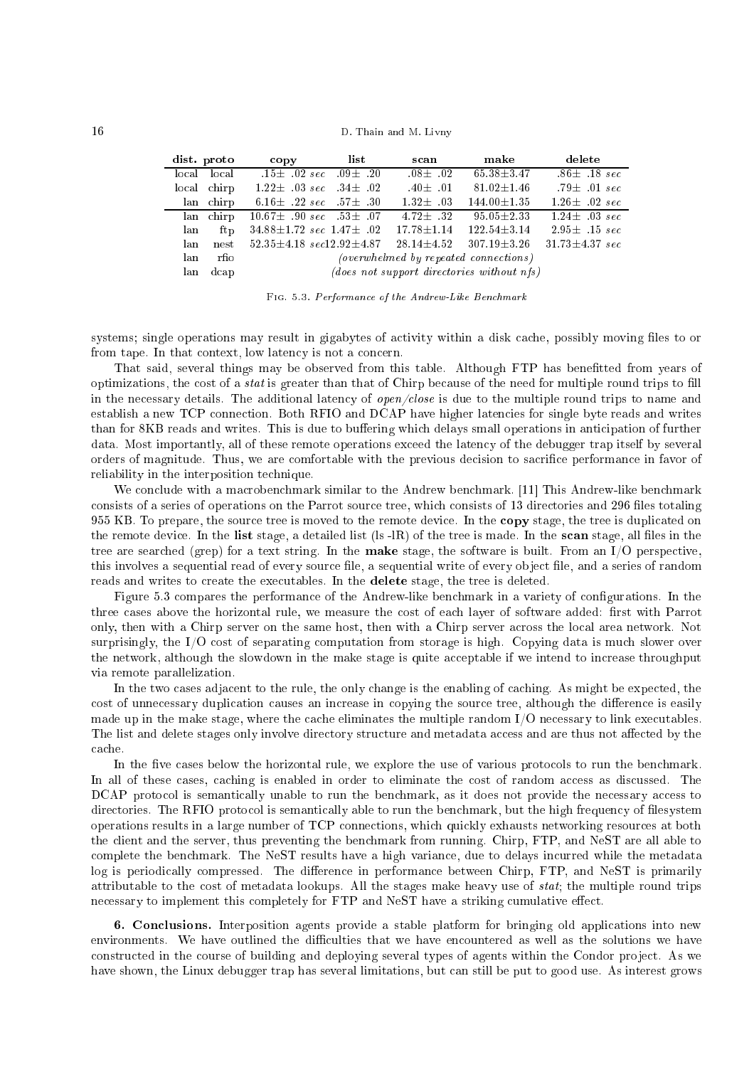| dist. proto |             | copy list                                                                 | scan         | make                                        | delete                    |
|-------------|-------------|---------------------------------------------------------------------------|--------------|---------------------------------------------|---------------------------|
|             | local local | $15\pm$ 02 sec 09 $\pm$ 20                                                | $.08 + .02$  | $65.38 \pm 3.47$                            | $.86\pm .18~sec$          |
|             | local chirp | $1.22 \pm 0.03 \; sec \; .34 \pm 0.02$                                    | $.40\pm .01$ | $81.02 \pm 1.46$                            | $.79\pm$ 01 sec           |
|             | lan chirp   | 6.16 $\pm$ 22 sec 57 $\pm$ 30                                             | $1.32 + 0.3$ | $144.00 + 1.35$                             | $1.26 + 0.02 \text{ sec}$ |
|             | lan chirp   | $10.67 \pm 90 \; sec \; 53 \pm 07$                                        |              | $4.72\pm 0.32$ $95.05\pm 2.33$              | $1.24 \pm 0.03 \; sec$    |
| lan         | ft p        | $34.88 \pm 1.72$ sec $1.47 \pm 0.02$ $17.78 \pm 1.14$ $122.54 \pm 3.14$   |              |                                             | $2.95 \pm 0.15 \; sec$    |
| lan         | nest        | $52.35 \pm 4.18 \; sec 12.92 \pm 4.87$ $28.14 \pm 4.52$ $307.19 \pm 3.26$ |              |                                             | $31.73 \pm 4.37 \; sec$   |
| lan         | rfio        |                                                                           |              | (overwhelmed by repeated connections)       |                           |
| lan         | dcap        |                                                                           |              | $(does not support directions without nfs)$ |                           |

FIG. 5.3. Performance of the Andrew-Like Benchmark

systems; single operations may result in gigabytes of activity within a disk cache, possibly moving files to or from tape. In that context, low latency is not a concern.

That said, several things may be observed from this table. Although FTP has benefitted from years of optimizations, the cost of a *stat* is greater than that of Chirp because of the need for multiple round trips to fill in the necessary details. The additional latency of  $open/close$  is due to the multiple round trips to name and establish a new TCP connection. Both RFIO and DCAP have higher latencies for single byte reads and writes than for 8KB reads and writes. This is due to buffering which delays small operations in anticipation of further data. Most importantly, all of these remote operations ex
eed the laten
y of the debugger trap itself by several orders of magnitude. Thus, we are comfortable with the previous decision to sacrifice performance in favor of reliability in the interposition technique.

We conclude with a macrobenchmark similar to the Andrew benchmark. [11] This Andrew-like benchmark consists of a series of operations on the Parrot source tree, which consists of 13 directories and 296 files totaling 955 KB. To prepare, the source tree is moved to the remote device. In the copy stage, the tree is duplicated on the remote device. In the list stage, a detailed list  $($ ls  $-$ lR $)$  of the tree is made. In the scan stage, all files in the tree are searched (grep) for a text string. In the **make** stage, the software is built. From an  $I/O$  perspective, this involves a sequential read of every source file, a sequential write of every object file, and a series of random reads and writes to reate the exe
utables. In the delete stage, the tree is deleted.

Figure 5.3 compares the performance of the Andrew-like benchmark in a variety of configurations. In the three cases above the horizontal rule, we measure the cost of each layer of software added: first with Parrot only, then with a Chirp server on the same host, then with a Chirp server across the local area network. Not surprisingly, the I/O cost of separating computation from storage is high. Copying data is much slower over the network, although the slowdown in the make stage is quite acceptable if we intend to increase throughput via remote parallelization.

In the two cases adjacent to the rule, the only change is the enabling of caching. As might be expected, the cost of unnecessary duplication causes an increase in copying the source tree, although the difference is easily made up in the make stage, where the cache eliminates the multiple random I/O necessary to link executables. The list and delete stages only involve directory structure and metadata access and are thus not affected by the a
he.

In the five cases below the horizontal rule, we explore the use of various protocols to run the benchmark. In all of these cases, caching is enabled in order to eliminate the cost of random access as discussed. The DCAP protocol is semantically unable to run the benchmark, as it does not provide the necessary access to directories. The RFIO protocol is semantically able to run the benchmark, but the high frequency of filesystem operations results in a large number of TCP onne
tions, whi
h qui
kly exhausts networking resour
es at both the lient and the server, thus preventing the ben
hmark from running. Chirp, FTP, and NeST are all able to omplete the ben
hmark. The NeST results have a high varian
e, due to delays in
urred while the metadata log is periodically compressed. The difference in performance between Chirp, FTP, and NeST is primarily attributable to the cost of metadata lookups. All the stages make heavy use of stat; the multiple round trips necessary to implement this completely for FTP and NeST have a striking cumulative effect.

6. Con
lusions. Interposition agents provide a stable platform for bringing old appli
ations into new environments. We have outlined the difficulties that we have encountered as well as the solutions we have constructed in the course of building and deploying several types of agents within the Condor project. As we have shown, the Linux debugger trap has several limitations, but can still be put to good use. As interest grows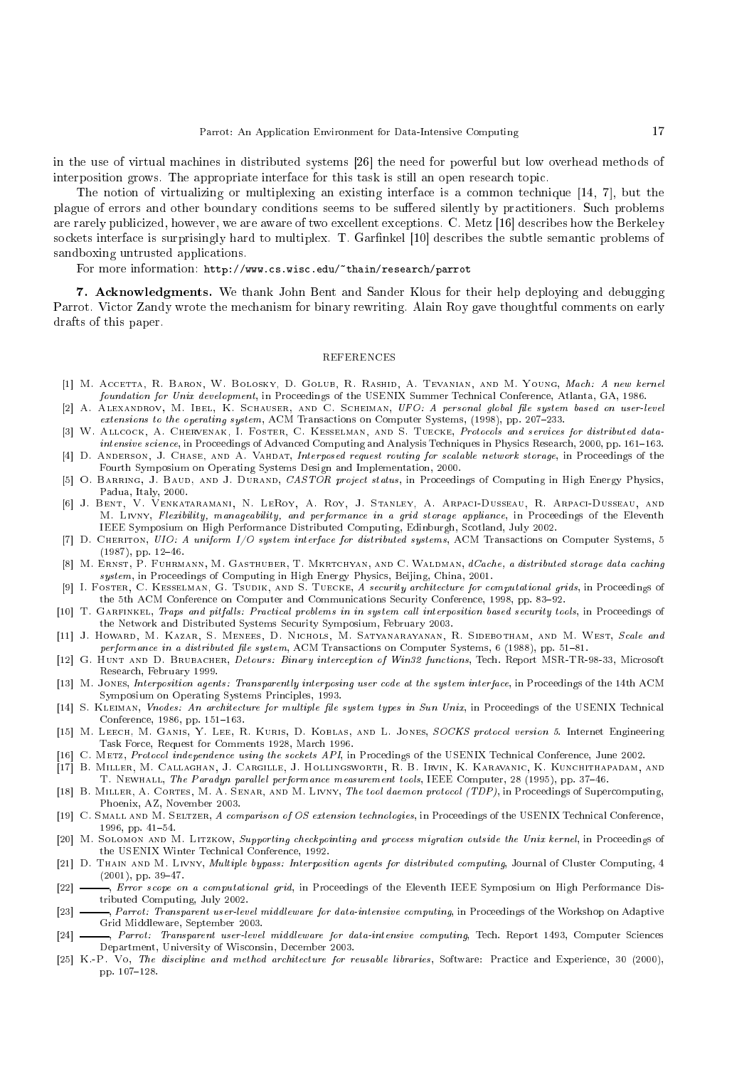in the use of virtual machines in distributed systems [26] the need for powerful but low overhead methods of interposition grows. The appropriate interface for this task is still an open research topic.

The notion of virtualizing or multiplexing an existing interface is a common technique  $[14, 7]$ , but the plague of errors and other boundary conditions seems to be suffered silently by practitioners. Such problems are rarely publicized, however, we are aware of two excellent exceptions. C. Metz [16] describes how the Berkeley sockets interface is surprisingly hard to multiplex. T. Garfinkel [10] describes the subtle semantic problems of sandboxing untrusted applications.

For more information: http://www.cs.wisc.edu/"thain/research/parrot

7. A
knowledgments. We thank John Bent and Sander Klous for their help deploying and debugging Parrot. Victor Zandy wrote the mechanism for binary rewriting. Alain Roy gave thoughtful comments on early drafts of this paper.

#### **REFERENCES**

- [1℄ M. A

etta, R. Baron, W. Bolosky, D. Golub, R. Rashid, A. Tevanian, and M. Young, Ma
h: A new kernel foundation for Unix development, in Pro
eedings of the USENIX Summer Te
hni
al Conferen
e, Atlanta, GA, 1986.
- [2] A. ALEXANDROV, M. IBEL, K. SCHAUSER, AND C. SCHEIMAN, UFO: A personal global file system based on user-level extensions to the operating system, ACM Transactions on Computer Systems, (1998), pp. 207-233.
- [3] W. ALLCOCK, A. CHERVENAK, I. FOSTER, C. KESSELMAN, AND S. TUECKE, Protocols and services for distributed dataintensive science, in Proceedings of Advanced Computing and Analysis Techniques in Physics Research, 2000, pp. 161-163.
- [4] D. ANDERSON, J. CHASE, AND A. VAHDAT, Interposed request routing for scalable network storage, in Proceedings of the Fourth Symposium on Operating Systems Design and Implementation, 2000.
- [5] O. BARRING, J. BAUD, AND J. DURAND, CASTOR project status, in Proceedings of Computing in High Energy Physics, Padua, Italy, 2000.
- [6] J. BENT, V. VENKATARAMANI, N. LEROY, A. ROY, J. STANLEY, A. ARPACI-DUSSEAU, R. ARPACI-DUSSEAU, AND M. LIVNY, Flexibility, manageability, and performance in a grid storage appliance, in Proceedings of the Eleventh IEEE Symposium on High Performance Distributed Computing, Edinburgh, Scotland, July 2002.
- [7] D. CHERITON, UIO: A uniform I/O system interface for distributed systems, ACM Transactions on Computer Systems, 5  $(1987)$ , pp.  $12-46$ .
- [8] M. ERNST, P. FUHRMANN, M. GASTHUBER, T. MKRTCHYAN, AND C. WALDMAN, dCache, a distributed storage data caching system, in Proceedings of Computing in High Energy Physics, Beijing, China, 2001.
- [9] I. FOSTER, C. KESSELMAN, G. TSUDIK, AND S. TUECKE, A security architecture for computational grids, in Proceedings of the 5th ACM Conference on Computer and Communications Security Conference, 1998, pp. 83-92.
- [10] T. GARFINKEL, Traps and pitfalls: Practical problems in in system call interposition based security tools, in Proceedings of the Network and Distributed Systems Security Symposium, February 2003.
- [11] J. Howard, M. Kazar, S. Menees, D. Nichols, M. SATYANARAYANAN, R. SIDEBOTHAM, AND M. WEST, Scale and performance in a distributed file system, ACM Transactions on Computer Systems, 6 (1988), pp. 51–81.
- [12] G. HUNT AND D. BRUBACHER, Detours: Binary interception of Win32 functions, Tech. Report MSR-TR-98-33, Microsoft Resear
h, February 1999.
- [13] M. Jones, Interposition agents: Transparently interposing user code at the system interface, in Proceedings of the 14th ACM Symposium on Operating Systems Prin
iples, 1993.
- [14] S. KLEIMAN, Vnodes: An architecture for multiple file system types in Sun Unix, in Proceedings of the USENIX Technical Conference, 1986, pp. 151-163.
- [15] M. LEECH, M. GANIS, Y. LEE, R. KURIS, D. KOBLAS, AND L. JONES, SOCKS protocol version 5. Internet Engineering Task For
e, Request for Comments 1928, Mar
h 1996.
- [16] C. METZ, Protocol independence using the sockets API, in Procedings of the USENIX Technical Conference, June 2002.
- [17] B. MILLER, M. CALLAGHAN, J. CARGILLE, J. HOLLINGSWORTH, R. B. IRVIN, K. KARAVANIC, K. KUNCHITHAPADAM, AND T. NEWHALL, The Paradyn parallel performance measurement tools, IEEE Computer, 28 (1995), pp. 37-46.
- [18] B. MILLER, A. CORTES, M. A. SENAR, AND M. LIVNY, The tool daemon protocol (TDP), in Proceedings of Supercomputing, Phoenix, AZ, November 2003.
- [19] C. SMALL AND M. SELTZER, A comparison of OS extension technologies, in Proceedings of the USENIX Technical Conference, 1996, pp. 41-54.
- [20] M. SOLOMON AND M. LITZKOW, Supporting checkpointing and process migration outside the Unix kernel, in Proceedings of the USENIX Winter Technical Conference, 1992.
- [21] D. THAIN AND M. LIVNY, Multiple bypass: Interposition agents for distributed computing, Journal of Cluster Computing, 4  $(2001)$ , pp. 39-47.
- [22] Fror scope on a computational grid, in Proceedings of the Eleventh IEEE Symposium on High Performance Distributed Computing, July 2002.
- [23] —, Parrot: Transparent user-level middleware for data-intensive computing, in Proceedings of the Workshop on Adaptive Grid Middleware, September 2003.
- [24] \_\_\_, Parrot: Transparent user-level middleware for data-intensive computing, Tech. Report 1493, Computer Sciences Department, University of Wis
onsin, De
ember 2003.
- [25] K.-P. Vo, The discipline and method architecture for reusable libraries, Software: Practice and Experience, 30 (2000), pp. 107-128.